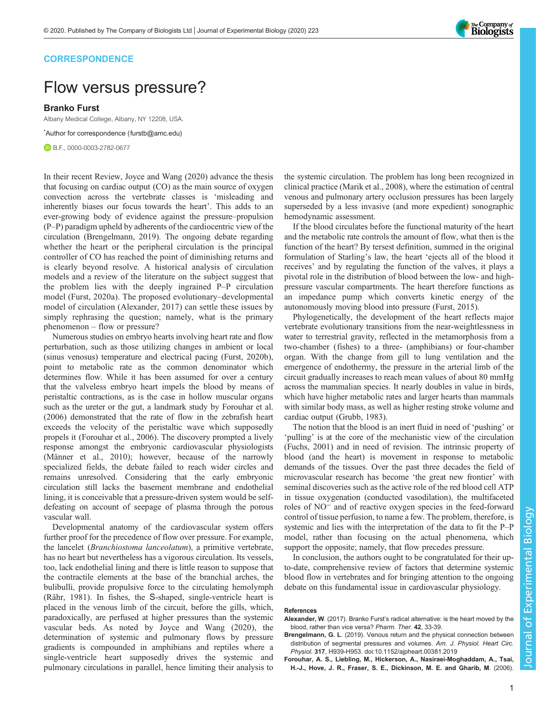

### **CORRESPONDENCE**

# Flow versus pressure?

Branko Furst

Albany Medical College, Albany, NY 12208, USA.

\* Author for correspondence [\(furstb@amc.edu\)](mailto:furstb@amc.edu)

**B.F., [0000-0003-2782-0677](http://orcid.org/0000-0003-2782-0677)** 

In their recent Review, [Joyce and Wang \(2020\)](#page-1-0) advance the thesis that focusing on cardiac output (CO) as the main source of oxygen convection across the vertebrate classes is 'misleading and inherently biases our focus towards the heart'. This adds to an ever-growing body of evidence against the pressure–propulsion (P–P) paradigm upheld by adherents of the cardiocentric view of the circulation (Brengelmann, 2019). The ongoing debate regarding whether the heart or the peripheral circulation is the principal controller of CO has reached the point of diminishing returns and is clearly beyond resolve. A historical analysis of circulation models and a review of the literature on the subject suggest that the problem lies with the deeply ingrained P–P circulation model ([Furst, 2020a](#page-1-0)). The proposed evolutionary–developmental model of circulation (Alexander, 2017) can settle these issues by simply rephrasing the question; namely, what is the primary phenomenon – flow or pressure?

Numerous studies on embryo hearts involving heart rate and flow perturbation, such as those utilizing changes in ambient or local (sinus venosus) temperature and electrical pacing ([Furst, 2020b\)](#page-1-0), point to metabolic rate as the common denominator which determines flow. While it has been assumed for over a century that the valveless embryo heart impels the blood by means of peristaltic contractions, as is the case in hollow muscular organs such as the ureter or the gut, a landmark study by Forouhar et al. (2006) demonstrated that the rate of flow in the zebrafish heart exceeds the velocity of the peristaltic wave which supposedly propels it (Forouhar et al., 2006). The discovery prompted a lively response amongst the embryonic cardiovascular physiologists [\(Männer et al., 2010\)](#page-1-0); however, because of the narrowly specialized fields, the debate failed to reach wider circles and remains unresolved. Considering that the early embryonic circulation still lacks the basement membrane and endothelial lining, it is conceivable that a pressure-driven system would be selfdefeating on account of seepage of plasma through the porous vascular wall.

Developmental anatomy of the cardiovascular system offers further proof for the precedence of flow over pressure. For example, the lancelet (Branchiostoma lanceolatum), a primitive vertebrate, has no heart but nevertheless has a vigorous circulation. Its vessels, too, lack endothelial lining and there is little reason to suppose that the contractile elements at the base of the branchial arches, the bulibulli, provide propulsive force to the circulating hemolymph [\(Rähr, 1981\)](#page-1-0). In fishes, the S-shaped, single-ventricle heart is placed in the venous limb of the circuit, before the gills, which, paradoxically, are perfused at higher pressures than the systemic vascular beds. As noted by [Joyce and Wang \(2020\)](#page-1-0), the determination of systemic and pulmonary flows by pressure gradients is compounded in amphibians and reptiles where a single-ventricle heart supposedly drives the systemic and pulmonary circulations in parallel, hence limiting their analysis to

the systemic circulation. The problem has long been recognized in clinical practice ([Marik et al., 2008](#page-1-0)), where the estimation of central venous and pulmonary artery occlusion pressures has been largely superseded by a less invasive (and more expedient) sonographic hemodynamic assessment.

If the blood circulates before the functional maturity of the heart and the metabolic rate controls the amount of flow, what then is the function of the heart? By tersest definition, summed in the original formulation of Starling's law, the heart 'ejects all of the blood it receives' and by regulating the function of the valves, it plays a pivotal role in the distribution of blood between the low- and highpressure vascular compartments. The heart therefore functions as an impedance pump which converts kinetic energy of the autonomously moving blood into pressure ([Furst, 2015\)](#page-1-0).

Phylogenetically, the development of the heart reflects major vertebrate evolutionary transitions from the near-weightlessness in water to terrestrial gravity, reflected in the metamorphosis from a two-chamber (fishes) to a three- (amphibians) or four-chamber organ. With the change from gill to lung ventilation and the emergence of endothermy, the pressure in the arterial limb of the circuit gradually increases to reach mean values of about 80 mmHg across the mammalian species. It nearly doubles in value in birds, which have higher metabolic rates and larger hearts than mammals with similar body mass, as well as higher resting stroke volume and cardiac output ([Grubb, 1983](#page-1-0)).

The notion that the blood is an inert fluid in need of 'pushing' or 'pulling' is at the core of the mechanistic view of the circulation [\(Fuchs, 2001\)](#page-1-0) and in need of revision. The intrinsic property of blood (and the heart) is movement in response to metabolic demands of the tissues. Over the past three decades the field of microvascular research has become 'the great new frontier' with seminal discoveries such as the active role of the red blood cell ATP in tissue oxygenation (conducted vasodilation), the multifaceted roles of NO<sup>−</sup> and of reactive oxygen species in the feed-forward control of tissue perfusion, to name a few. The problem, therefore, is systemic and lies with the interpretation of the data to fit the P–P model, rather than focusing on the actual phenomena, which support the opposite; namely, that flow precedes pressure.

In conclusion, the authors ought to be congratulated for their upto-date, comprehensive review of factors that determine systemic blood flow in vertebrates and for bringing attention to the ongoing debate on this fundamental issue in cardiovascular physiology.

#### References

- Alexander, W. (2017). Branko Furst's radical alternative: is the heart moved by the blood, rather than vice versa? Pharm. Ther. 42, 33-39.
- Brengelmann, G. L[. \(2019\). Venous return and the physical connection between](https://doi.org/10.1152/ajpheart.00381.2019) [distribution of segmental pressures and volumes.](https://doi.org/10.1152/ajpheart.00381.2019) Am. J. Physiol. Heart Circ. Physiol. 317[, H939-H953. doi:10.1152/ajpheart.00381.2019](https://doi.org/10.1152/ajpheart.00381.2019)
- [Forouhar, A. S., Liebling, M., Hickerson, A., Nasiraei-Moghaddam, A., Tsai,](https://doi.org/10.1126/science.1123775) [H.-J., Hove, J. R., Fraser, S. E., Dickinson, M. E. and Gharib, M](https://doi.org/10.1126/science.1123775). (2006).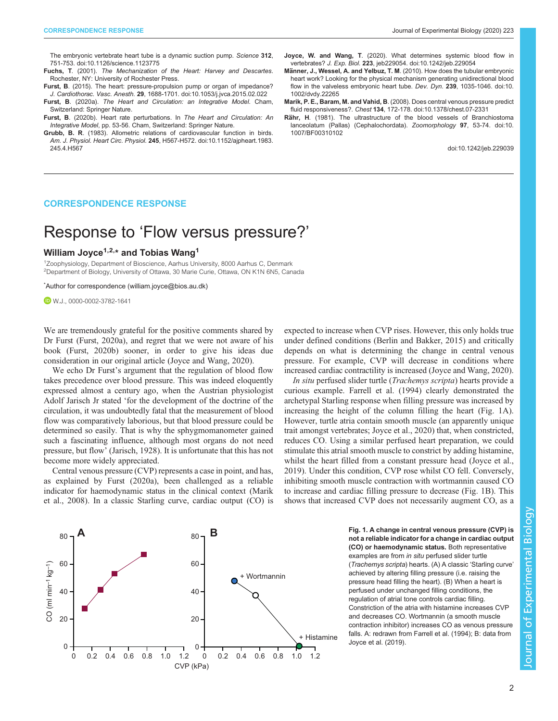<span id="page-1-0"></span>[The embryonic vertebrate heart tube is a dynamic suction pump.](https://doi.org/10.1126/science.1123775) Science 312, [751-753. doi:10.1126/science.1123775](https://doi.org/10.1126/science.1123775)

Fuchs, T. (2001). The Mechanization of the Heart: Harvey and Descartes. Rochester, NY: University of Rochester Press.

Furst, B[. \(2015\). The heart: pressure-propulsion pump or organ of impedance?](https://doi.org/10.1053/j.jvca.2015.02.022) J. Cardiothorac. Vasc. Anesth. 29[, 1688-1701. doi:10.1053/j.jvca.2015.02.022](https://doi.org/10.1053/j.jvca.2015.02.022)

Furst, B. (2020a). The Heart and Circulation: an Integrative Model. Cham, Switzerland: Springer Nature.

Furst, B. (2020b). Heart rate perturbations. In The Heart and Circulation: An Integrative Model, pp. 53-56. Cham, Switzerland: Springer Nature.

- Grubb, B. R[. \(1983\). Allometric relations of cardiovascular function in birds.](https://doi.org/10.1152/ajpheart.1983.245.4.H567) Am. J. Physiol. Heart Circ. Physiol. 245[, H567-H572. doi:10.1152/ajpheart.1983.](https://doi.org/10.1152/ajpheart.1983.245.4.H567) [245.4.H567](https://doi.org/10.1152/ajpheart.1983.245.4.H567)
- Joyce, W. and Wang, T[. \(2020\). What determines systemic blood flow in](https://doi.org/10.1242/jeb.229054) vertebrates? J. Exp. Biol. 223[, jeb229054. doi:10.1242/jeb.229054](https://doi.org/10.1242/jeb.229054)
- Männer, J., Wessel, A. and Yelbuz, T. M[. \(2010\). How does the tubular embryonic](https://doi.org/10.1002/dvdy.22265) [heart work? Looking for the physical mechanism generating unidirectional blood](https://doi.org/10.1002/dvdy.22265) [flow in the valveless embryonic heart tube.](https://doi.org/10.1002/dvdy.22265) Dev. Dyn. 239, 1035-1046. doi:10. [1002/dvdy.22265](https://doi.org/10.1002/dvdy.22265)
- Marik, P. E., Baram, M. and Vahid, B[. \(2008\). Does central venous pressure predict](https://doi.org/10.1378/chest.07-2331) fluid responsiveness?. Chest 134[, 172-178. doi:10.1378/chest.07-2331](https://doi.org/10.1378/chest.07-2331)

Rähr, H[. \(1981\). The ultrastructure of the blood vessels of Branchiostoma](https://doi.org/10.1007/BF00310102) [lanceolatum \(Pallas\) \(Cephalochordata\).](https://doi.org/10.1007/BF00310102) Zoomorphology 97, 53-74. doi:10. [1007/BF00310102](https://doi.org/10.1007/BF00310102)

doi:10.1242/jeb.229039

#### CORRESPONDENCE RESPONSE

## Response to 'Flow versus pressure?'

#### William Joyce<sup>1,2,\*</sup> and Tobias Wang<sup>1</sup>

<sup>1</sup>Zoophysiology, Department of Bioscience, Aarhus University, 8000 Aarhus C, Denmark <sup>2</sup>Department of Biology, University of Ottawa, 30 Marie Curie, Ottawa, ON K1N 6N5, Canada

\* Author for correspondence [\(william.joyce@bios.au.dk\)](mailto:william.joyce@bios.au.dk)

W.J., [0000-0002-3782-1641](http://orcid.org/0000-0002-3782-1641)

We are tremendously grateful for the positive comments shared by Dr Furst ([Furst, 2020a\)](#page-2-0), and regret that we were not aware of his book [\(Furst, 2020b](#page-2-0)) sooner, in order to give his ideas due consideration in our original article ([Joyce and Wang, 2020\)](#page-2-0).

We echo Dr Furst's argument that the regulation of blood flow takes precedence over blood pressure. This was indeed eloquently expressed almost a century ago, when the Austrian physiologist Adolf Jarisch Jr stated 'for the development of the doctrine of the circulation, it was undoubtedly fatal that the measurement of blood flow was comparatively laborious, but that blood pressure could be determined so easily. That is why the sphygmomanometer gained such a fascinating influence, although most organs do not need pressure, but flow' ([Jarisch, 1928\)](#page-2-0). It is unfortunate that this has not become more widely appreciated.

Central venous pressure (CVP) represents a case in point, and has, as explained by [Furst \(2020a\)](#page-2-0), been challenged as a reliable indicator for haemodynamic status in the clinical context [\(Marik](#page-2-0) [et al., 2008](#page-2-0)). In a classic Starling curve, cardiac output (CO) is expected to increase when CVP rises. However, this only holds true under defined conditions [\(Berlin and Bakker, 2015\)](#page-2-0) and critically depends on what is determining the change in central venous pressure. For example, CVP will decrease in conditions where increased cardiac contractility is increased ([Joyce and Wang, 2020\)](#page-2-0).

In situ perfused slider turtle (Trachemys scripta) hearts provide a curious example. [Farrell et al. \(1994\)](#page-2-0) clearly demonstrated the archetypal Starling response when filling pressure was increased by increasing the height of the column filling the heart (Fig. 1A). However, turtle atria contain smooth muscle (an apparently unique trait amongst vertebrates; [Joyce et al., 2020\)](#page-2-0) that, when constricted, reduces CO. Using a similar perfused heart preparation, we could stimulate this atrial smooth muscle to constrict by adding histamine, whilst the heart filled from a constant pressure head [\(Joyce et al.,](#page-2-0) [2019\)](#page-2-0). Under this condition, CVP rose whilst CO fell. Conversely, inhibiting smooth muscle contraction with wortmannin caused CO to increase and cardiac filling pressure to decrease (Fig. 1B). This shows that increased CVP does not necessarily augment CO, as a



Fig. 1. A change in central venous pressure (CVP) is not a reliable indicator for a change in cardiac output (CO) or haemodynamic status. Both representative examples are from in situ perfused slider turtle (Trachemys scripta) hearts. (A) A classic 'Starling curve' achieved by altering filling pressure (i.e. raising the pressure head filling the heart). (B) When a heart is perfused under unchanged filling conditions, the regulation of atrial tone controls cardiac filling. Constriction of the atria with histamine increases CVP and decreases CO. Wortmannin (a smooth muscle contraction inhibitor) increases CO as venous pressure falls. A: redrawn from [Farrell et al. \(1994\);](#page-2-0) B: data from [Joyce et al. \(2019\).](#page-2-0)